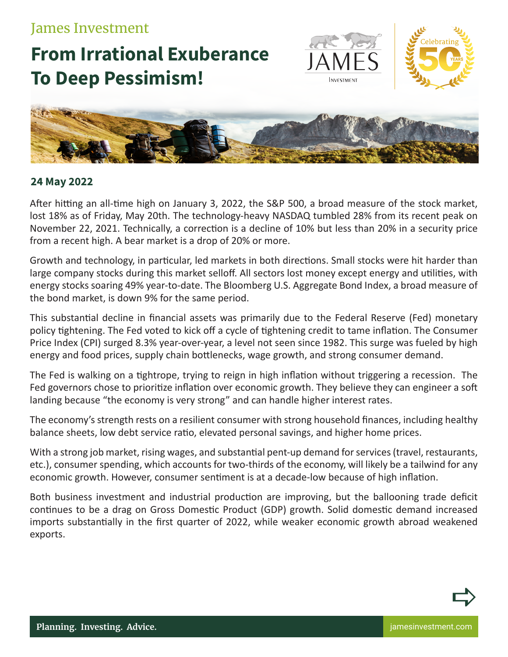## James Investment

## **From Irrational Exuberance To Deep Pessimism!**





## **24 May 2022**

After hitting an all-time high on January 3, 2022, the S&P 500, a broad measure of the stock market, lost 18% as of Friday, May 20th. The technology-heavy NASDAQ tumbled 28% from its recent peak on November 22, 2021. Technically, a correction is a decline of 10% but less than 20% in a security price from a recent high. A bear market is a drop of 20% or more.

Growth and technology, in particular, led markets in both directions. Small stocks were hit harder than large company stocks during this market selloff. All sectors lost money except energy and utilities, with energy stocks soaring 49% year-to-date. The Bloomberg U.S. Aggregate Bond Index, a broad measure of the bond market, is down 9% for the same period.

This substantial decline in financial assets was primarily due to the Federal Reserve (Fed) monetary policy tightening. The Fed voted to kick off a cycle of tightening credit to tame inflation. The Consumer Price Index (CPI) surged 8.3% year-over-year, a level not seen since 1982. This surge was fueled by high energy and food prices, supply chain bottlenecks, wage growth, and strong consumer demand.

The Fed is walking on a tightrope, trying to reign in high inflation without triggering a recession. The Fed governors chose to prioritize inflation over economic growth. They believe they can engineer a soft landing because "the economy is very strong" and can handle higher interest rates.

The economy's strength rests on a resilient consumer with strong household finances, including healthy balance sheets, low debt service ratio, elevated personal savings, and higher home prices.

With a strong job market, rising wages, and substantial pent-up demand for services (travel, restaurants, etc.), consumer spending, which accounts for two-thirds of the economy, will likely be a tailwind for any economic growth. However, consumer sentiment is at a decade-low because of high inflation.

Both business investment and industrial production are improving, but the ballooning trade deficit continues to be a drag on Gross Domestic Product (GDP) growth. Solid domestic demand increased imports substantially in the first quarter of 2022, while weaker economic growth abroad weakened exports.



 $\Rightarrow$